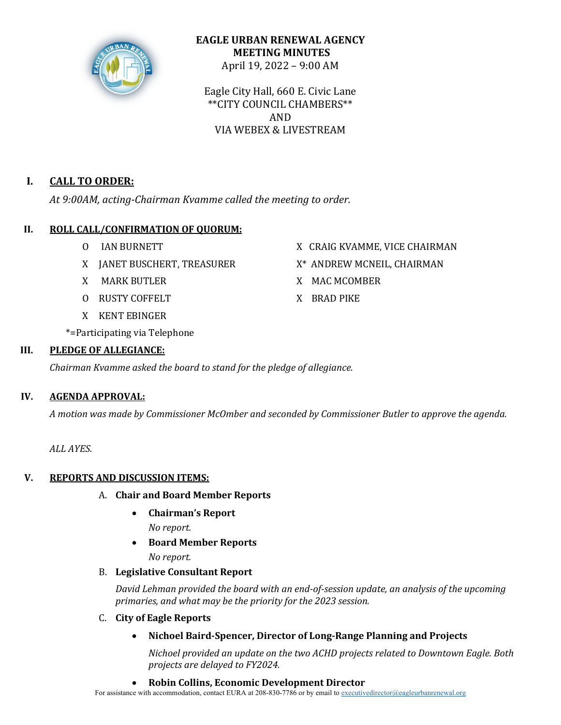

## **EAGLE URBAN RENEWAL AGENCY MEETING MINUTES** April 19, 2022 – 9:00 AM

Eagle City Hall, 660 E. Civic Lane \*\*CITY COUNCIL CHAMBERS\*\* AND VIA WEBEX & LIVESTREAM

# **I. CALL TO ORDER:**

At 9:00AM, acting-Chairman Kvamme called the meeting to order.

# **II.** ROLL CALL/CONFIRMATION OF QUORUM:

- 
- X JANET BUSCHERT, TREASURER  $X^*$  ANDREW MCNEIL, CHAIRMAN
- 
- O RUSTY COFFELT X BRAD PIKE
- X KENT EBINGER
- \*=Participating via Telephone

# **III. PLEDGE OF ALLEGIANCE:**

*Chairman Kvamme asked the board to stand for the pledge of allegiance.* 

# **IV. AGENDA APPROVAL:**

*A motion was made by Commissioner McOmber and seconded by Commissioner Butler to approve the agenda.*

*ALL AYES.*

# **V.** REPORTS AND DISCUSSION ITEMS:

- A. **Chair and Board Member Reports**
	- **Chairman's Report**
		- *No report.*
	- **Board Member Reports**
		- *No report.*

# B. **Legislative Consultant Report**

David Lehman provided the board with an end-of-session update, an analysis of the upcoming *primaries, and what may be the priority for the 2023 session.* 

- C. **City of Eagle Reports**
	- Nichoel Baird-Spencer, Director of Long-Range Planning and Projects

*Nichoel provided an update on the two ACHD projects related to Downtown Eagle. Both projects are delayed to FY2024.*

• **Robin Collins, Economic Development Director**

For assistance with accommodation, contact EURA at 208-830-7786 or by email to executivedirector@eagleurbanrenewal.org

- O IAN BURNETT X CRAIG KVAMME, VICE CHAIRMAN
	-
- X MARK BUTLER X MAC MCOMBER
	-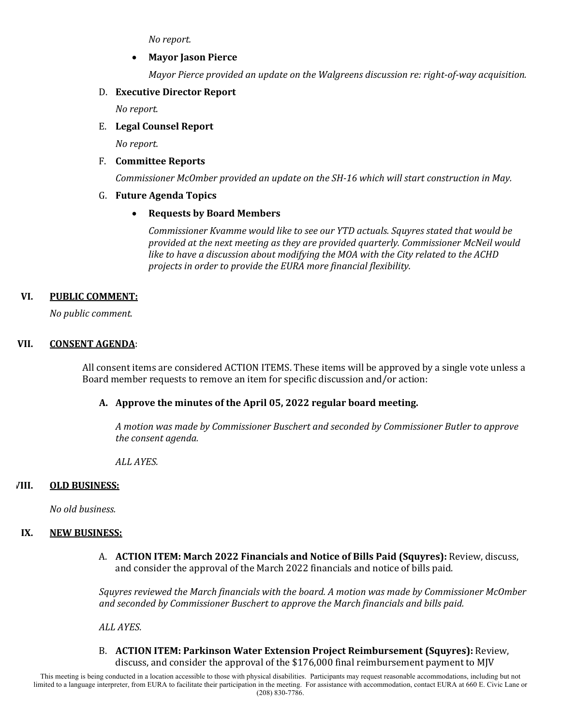*No report.*

### • **Mayor Jason Pierce**

*Mayor Pierce provided an update on the Walgreens discussion re: right-of-way acquisition.* 

### D. **Executive Director Report**

*No report.*

## E. **Legal Counsel Report**

*No report.*

## F. **Committee Reports**

*Commissioner McOmber provided an update on the SH-16 which will start construction in May.* 

### G. **Future Agenda Topics**

## • **Requests by Board Members**

Commissioner Kvamme would like to see our YTD actuals. Squyres stated that would be provided at the next meeting as they are provided quarterly. Commissioner McNeil would *like to have a discussion about modifying the MOA with the City related to the ACHD* projects in order to provide the EURA more financial flexibility.

### VI. **PUBLIC COMMENT:**

*No public comment.*

### **VII. CONSENT AGENDA:**

All consent items are considered ACTION ITEMS. These items will be approved by a single vote unless a Board member requests to remove an item for specific discussion and/or action:

## **A. Approve the minutes of the April 05, 2022 regular board meeting.**

*A motion was made by Commissioner Buschert and seconded by Commissioner Butler to approve*  the consent agenda.

*ALL AYES.*

#### **VIII. OLD BUSINESS:**

*No old business.*

#### **IX. NEW BUSINESS:**

A. **ACTION ITEM: March 2022 Financials and Notice of Bills Paid (Squyres):** Review, discuss, and consider the approval of the March 2022 financials and notice of bills paid.

Squyres reviewed the March financials with the board. A motion was made by Commissioner McOmber and seconded by Commissioner Buschert to approve the March financials and bills paid.

*ALL AYES.*

B. **ACTION ITEM: Parkinson Water Extension Project Reimbursement (Squyres):** Review, discuss, and consider the approval of the  $$176,000$  final reimbursement payment to MJV

This meeting is being conducted in a location accessible to those with physical disabilities. Participants may request reasonable accommodations, including but not limited to a language interpreter, from EURA to facilitate their participation in the meeting. For assistance with accommodation, contact EURA at 660 E. Civic Lane or (208) 830-7786.